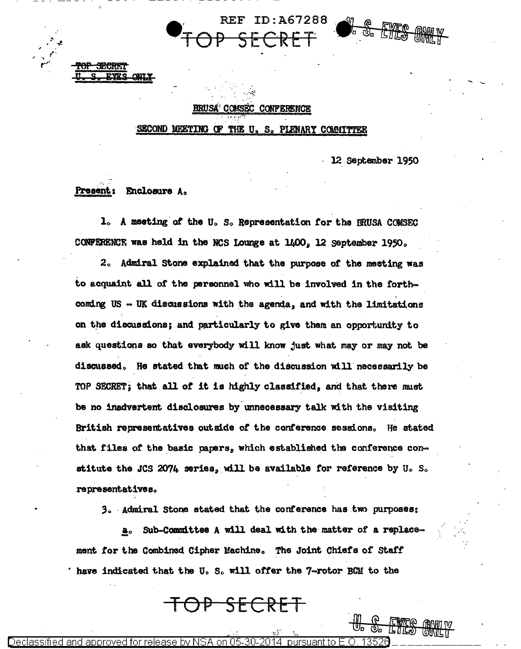REF ID:A67288

## BRUSA COMSEC CONFERENCE

SECOND MEETING OF THE U.S. PLENARY COMMITTEE

12 September 1950

Present: Enclosure A.

نسم

1. A meeting of the U.S. Representation for the BRUSA COMSEC CONFERENCE was held in the NCS Lounge at 1400, 12 September 1950.

2. Admiral Stone explained that the purpose of the meeting was to acquaint all of the personnel who will be involved in the forthcoming US - UK discussions with the agenda, and with the limitations on the discussions; and particularly to give them an opportunity to ask questions so that everybody will know just what may or may not be discussed. He stated that much of the discussion will necessarily be TOP SECRET; that all of it is highly classified, and that there must be no inadvertent disclosures by unnecessary talk with the visiting British representatives outside of the conference sessions. He stated that files of the basic papers, which established the conference constitute the JCS 2074 series, will be available for reference by U.S. representatives.

3. Admiral Stone stated that the conference has two purposes:

Sub-Committee A will deal with the matter of a replace $a<sub>o</sub>$ ment for the Combined Cipher Machine. The Joint Chiefs of Staff have indicated that the U.S. will offer the 7-rotor BCM to the

<del>JP SECRET</del>

Declassified anc release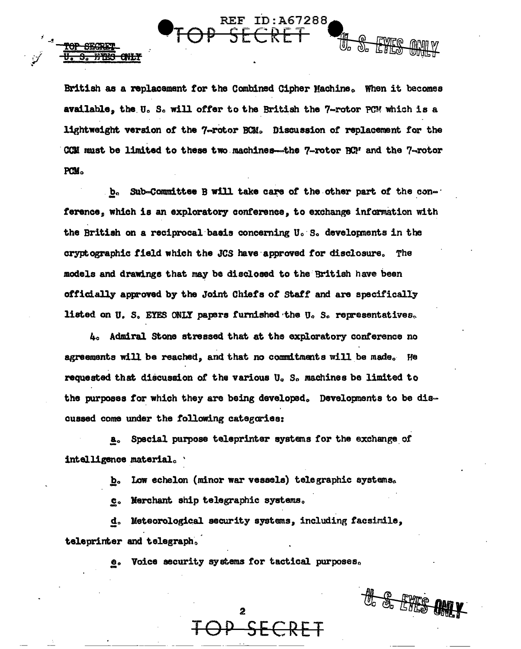British as a replacement for the Combined Cipher Machine. When it becomes available, the U.S. will offer to the British the 7-rotor PCM which is a lightweight version of the 7-rotor BCM. Discussion of replacement for the CCM must be limited to these two machines—the 7-rotor  $BC^r$  and the 7-rotor PCM.

REF.

**S. ETES CNLY** 

ID:A67288

H. S. EVES

Sub-Committee B will take care of the other part of the con- $\mathbf{b}_{\alpha}$ ference, which is an exploratory conference, to exchange information with the British on a reciprocal basis concerning U.S. developments in the cryptographic field which the JCS have approved for disclosure. The models and drawings that may be disclosed to the British have been officially approved by the Joint Chiefs of Staff and are specifically listed on U.S. EYES ONLY papers furnished the U.S. representatives.

4. Admiral Stone stressed that at the exploratory conference no agreements will be reached, and that no commitments will be made. He requested that discussion of the various U.S. machines be limited to the purposes for which they are being developed. Developments to be discussed come under the following categories:

Special purpose teleprinter systems for the exchange of а. intelligence material.

> Low echelon (minor war vessels) telegraphic systems. b.

Merchant ship telegraphic systems.  $\overline{\mathbf{c}}$  .

Meteorological security systems, including facsimile, d. teleprinter and telegraph.

> Voice security systems for tactical purposes.  $\bullet$

> > $\overline{2}$

the S. Filter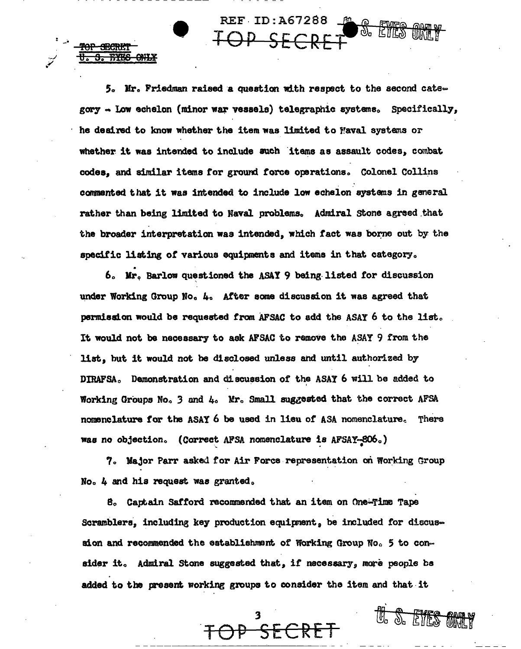$5.$  Mr. Friedman raised a question with respect to the second category - Low echelon (minor war vessels) telegraphic systems. Specifically, he desired to know whether the item was limited to Maval systems or whether it was intended to include such items as assault codes, combat codes, and similar items for ground force operations. Colonel Collins commented that it was intended to include low echelon systems in general rather than being limited to Naval problems. Admiral Stone agreed that the broader interpretation was intended, which fact was borne out by the specific listing of various equipments and items in that category.

REF ID:A67288

<del>onix</del>

6. Mr. Barlow questioned the ASAY 9 being listed for discussion under Working Group No. 4. After some discussion it was agreed that permission would be requested from AFSAC to add the ASAY 6 to the list. It would not be necessary to ask AFSAC to remove the ASAY 9 from the list, but it would not be disclosed unless and until authorized by DIRAFSA. Demonstration and discussion of the ASAY 6 will be added to Working Groups No. 3 and 4. Mr. Small suggested that the correct AFSA nomenclature for the ASAY 6 be used in lieu of ASA nomenclature. There was no objection. (Correct AFSA nomenclature is AFSAY-806.)

7. Major Parr asked for Air Force representation on Working Group No. 4 and his request was granted.

8. Captain Safford recommended that an item on One-Time Tape Scramblers, including key production equipment, be included for discussion and recommended the establishment of Working Group No. 5 to consider it. Admiral Stone suggested that, if necessary, more people be added to the present working groups to consider the item and that it

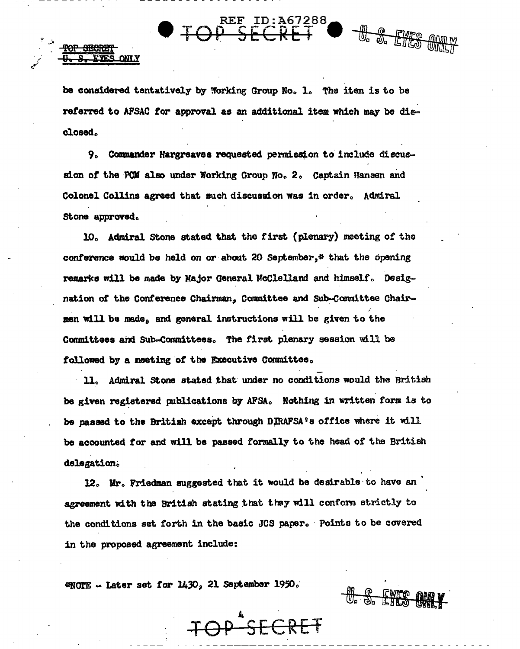be considered tentatively by Working Group No. 1. The item is to be referred to AFSAC for approval as an additional item which may be disclosed.

J. S. ETTES

H. S. FYFS AMP

TOP SEC

YES ONLY

9. Commander Hargreaves requested permission to include discussion of the PCM also under Working Group No. 2. Captain Hansen and Colonel Collins agreed that such discussion was in order. Admiral Stone approved.

10. Admiral Stone stated that the first (plenary) meeting of the conference would be held on or about 20 September,\* that the opening remarks will be made by Major General McClelland and himself. Designation of the Conference Chairman, Committee and Sub-Committee Chairmen will be made, and general instructions will be given to the Committees and Sub-Committees. The first plenary session will be followed by a meeting of the Executive Committee.

11. Admiral Stone stated that under no conditions would the British be given registered publications by AFSA. Nothing in written form is to be passed to the British except through DIRAFSA's office where it will be accounted for and will be passed formally to the head of the British delegation.

12. Mr. Friedman suggested that it would be desirable to have an agreement with the British stating that they will conform strictly to the conditions set forth in the basic JCS paper. Points to be covered in the proposed agreement include:

D SFCRET

\*NOTE - Later set for 1430, 21 September 1950.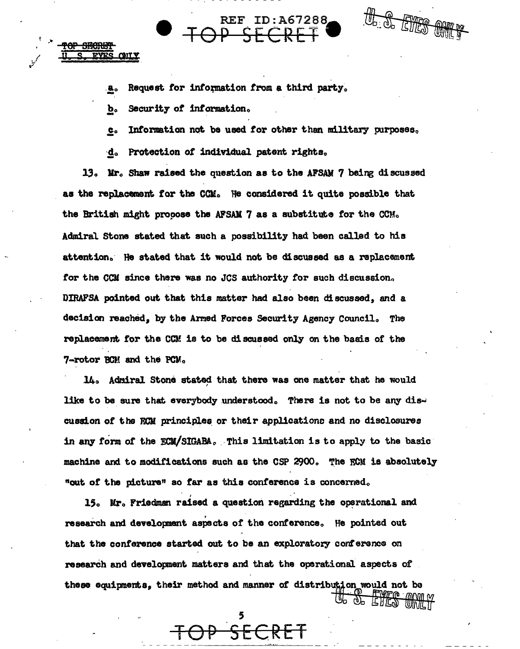the or Filles and

Request for information from a third party. а.

Security of information. b.

**CAILY** 

Information not be used for other than military purposes.  $\underline{\mathbf{c}}$ .

**REF ID: A67288** 

Protection of individual patent rights. ∙d.

13. Mr. Shaw raised the question as to the AFSAM 7 being discussed as the replacement for the CCM. He considered it quite possible that the British might procose the AFSAM 7 as a substitute for the CCM. Admiral Stone stated that such a possibility had been called to his attention. He stated that it would not be discussed as a replacement for the CCM since there was no JCS authority for such discussion. DIRAFSA pointed out that this matter had also been discussed, and a decision reached, by the Armed Forces Security Agency Council. The replacement for the CCM is to be discussed only on the basis of the 7-rotor BCM and the PCM.

14. Admiral Stone stated that there was one matter that he would like to be sure that everybody understood. There is not to be any discussion of the ECM principles or their applications and no disclosures in any form of the ECM/SIGABA. This limitation is to apply to the basic machine and to modifications such as the CSP 2900. The ECM is absolutely "out of the picture" so far as this conference is concerned.

15. Mr. Friedman raised a question regarding the operational and research and development aspects of the conference. He pointed out that the conference started out to be an exploratory conference on research and development matters and that the operational aspects of these equipments, their method and manner of distribution would not be THE TWEE ONLY

FCRET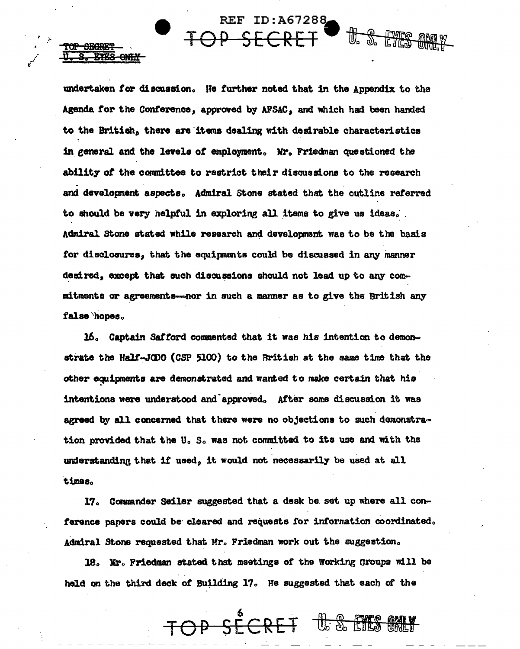undertaken for discussion. He further noted that in the Appendix to the Agenda for the Conference, approved by AFSAC, and which had been handed to the British, there are items dealing with desirable characteristics in general and the levels of employment. Mr. Friedman questioned the ability of the committee to restrict their discussions to the research and development aspects. Admiral Stone stated that the outline referred to should be very helpful in exploring all items to give us ideas. Admiral Stone stated while research and development was to be the basis for disclosures, that the equipments could be discussed in any manner desired, except that such discussions should not lead up to any commitments or agreements--- nor in such a manner as to give the British any false hopes.

<del>SBARK</del>I فتتحقا

<del>- QNTAY</del>

**REF ID:A67288** 

卌

16. Captain Safford commented that it was his intention to demonstrate the Half-JODO (CSP 5100) to the British at the same time that the other equipments are demonstrated and wanted to make certain that his intentions were understood and approved. After some discussion it was agreed by all concerned that there were no objections to such demonstration provided that the U.S. was not committed to its use and with the understanding that if used, it would not necessarily be used at all times.

17. Commander Seiler suggested that a desk be set up where all conference papers could be cleared and requests for information coordinated. Admiral Stone requested that Mr. Friedman work out the suggestion.

18. Mr. Friedman stated that meetings of the Working Groups will be held on the third deck of Building 17. He suggested that each of the

OP SECRET U.S. EYES ONLY